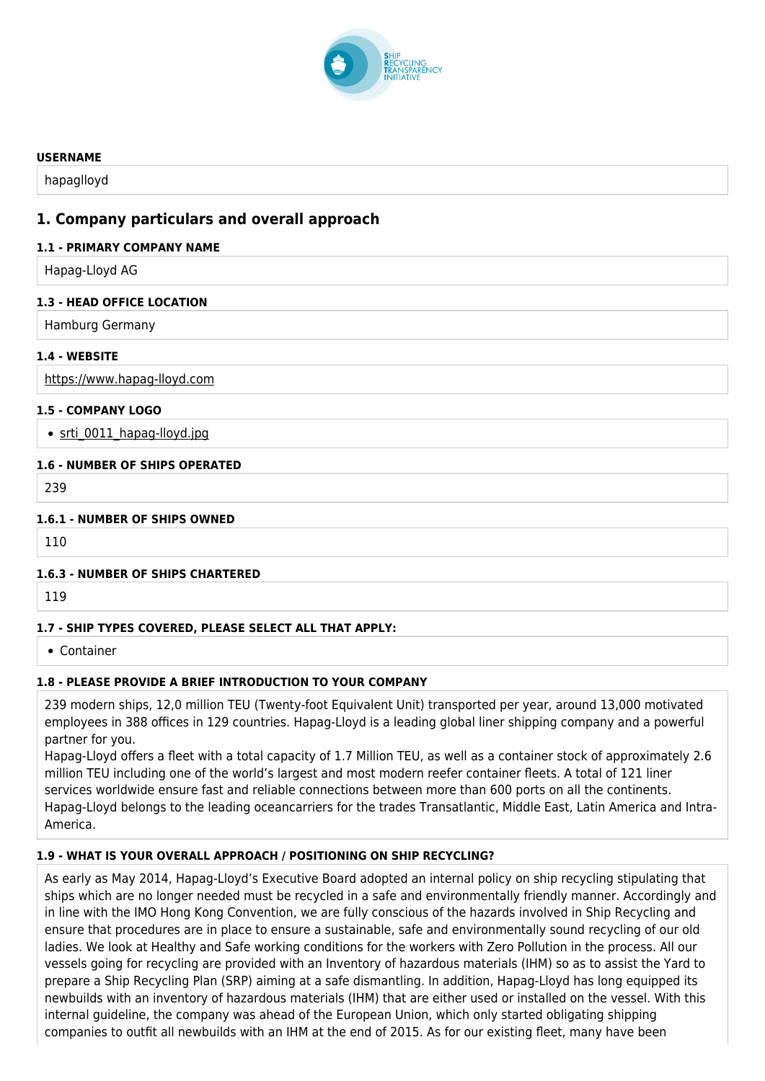

#### **USERNAME**

hapaglloyd

# **1. Company particulars and overall approach**

### **1.1 - PRIMARY COMPANY NAME**

Hapag-Lloyd AG

# **1.3 - HEAD OFFICE LOCATION**

Hamburg Germany

# **1.4 - WEBSITE**

<https://www.hapag-lloyd.com>

# **1.5 - COMPANY LOGO**

• srti 0011 hapag-lloyd.jpg

# **1.6 - NUMBER OF SHIPS OPERATED**

239

# **1.6.1 - NUMBER OF SHIPS OWNED**

110

### **1.6.3 - NUMBER OF SHIPS CHARTERED**

119

# **1.7 - SHIP TYPES COVERED, PLEASE SELECT ALL THAT APPLY:**

Container

# **1.8 - PLEASE PROVIDE A BRIEF INTRODUCTION TO YOUR COMPANY**

239 modern ships, 12,0 million TEU (Twenty-foot Equivalent Unit) transported per year, around 13,000 motivated employees in 388 offices in 129 countries. Hapag-Lloyd is a leading global liner shipping company and a powerful partner for you.

Hapag-Lloyd offers a fleet with a total capacity of 1.7 Million TEU, as well as a container stock of approximately 2.6 million TEU including one of the world's largest and most modern reefer container fleets. A total of 121 liner services worldwide ensure fast and reliable connections between more than 600 ports on all the continents. Hapag-Lloyd belongs to the leading oceancarriers for the trades Transatlantic, Middle East, Latin America and Intra-America.

# **1.9 - WHAT IS YOUR OVERALL APPROACH / POSITIONING ON SHIP RECYCLING?**

As early as May 2014, Hapag-Lloyd's Executive Board adopted an internal policy on ship recycling stipulating that ships which are no longer needed must be recycled in a safe and environmentally friendly manner. Accordingly and in line with the IMO Hong Kong Convention, we are fully conscious of the hazards involved in Ship Recycling and ensure that procedures are in place to ensure a sustainable, safe and environmentally sound recycling of our old ladies. We look at Healthy and Safe working conditions for the workers with Zero Pollution in the process. All our vessels going for recycling are provided with an Inventory of hazardous materials (IHM) so as to assist the Yard to prepare a Ship Recycling Plan (SRP) aiming at a safe dismantling. In addition, Hapag-Lloyd has long equipped its newbuilds with an inventory of hazardous materials (IHM) that are either used or installed on the vessel. With this internal guideline, the company was ahead of the European Union, which only started obligating shipping companies to outfit all newbuilds with an IHM at the end of 2015. As for our existing fleet, many have been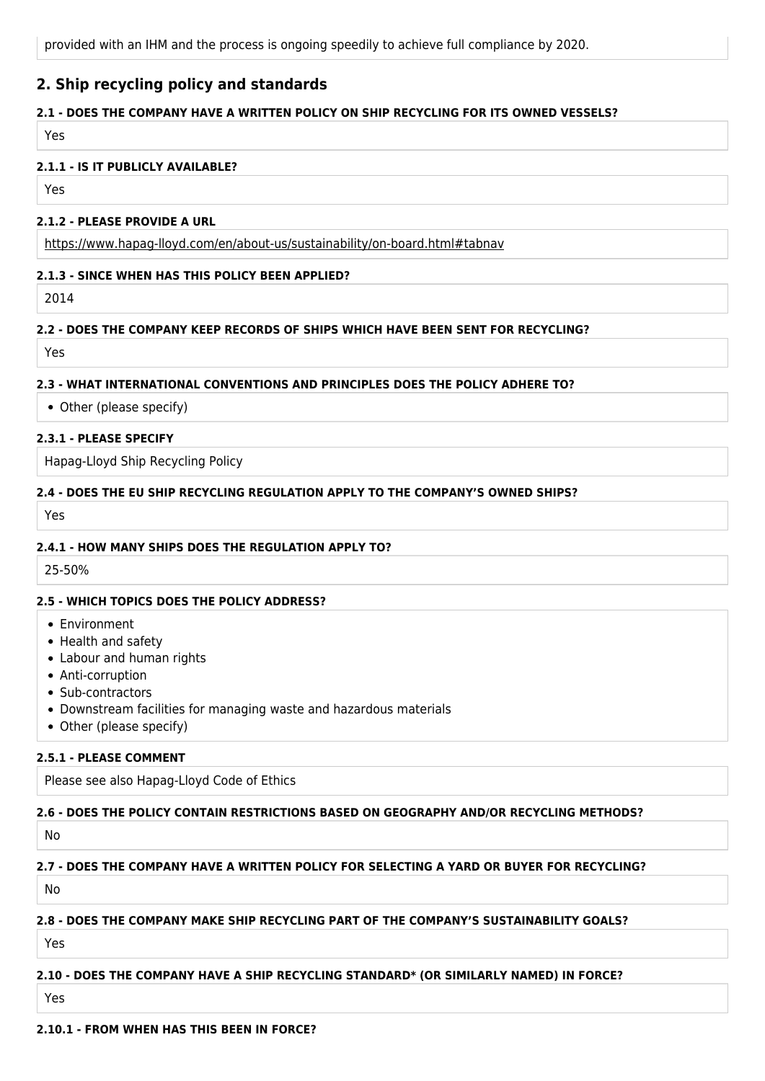provided with an IHM and the process is ongoing speedily to achieve full compliance by 2020.

# **2. Ship recycling policy and standards**

## **2.1 - DOES THE COMPANY HAVE A WRITTEN POLICY ON SHIP RECYCLING FOR ITS OWNED VESSELS?**

Yes

#### **2.1.1 - IS IT PUBLICLY AVAILABLE?**

Yes

#### **2.1.2 - PLEASE PROVIDE A URL**

<https://www.hapag-lloyd.com/en/about-us/sustainability/on-board.html#tabnav>

#### **2.1.3 - SINCE WHEN HAS THIS POLICY BEEN APPLIED?**

2014

### **2.2 - DOES THE COMPANY KEEP RECORDS OF SHIPS WHICH HAVE BEEN SENT FOR RECYCLING?**

Yes

#### **2.3 - WHAT INTERNATIONAL CONVENTIONS AND PRINCIPLES DOES THE POLICY ADHERE TO?**

Other (please specify)

#### **2.3.1 - PLEASE SPECIFY**

Hapag-Lloyd Ship Recycling Policy

### **2.4 - DOES THE EU SHIP RECYCLING REGULATION APPLY TO THE COMPANY'S OWNED SHIPS?**

Yes

#### **2.4.1 - HOW MANY SHIPS DOES THE REGULATION APPLY TO?**

25-50%

### **2.5 - WHICH TOPICS DOES THE POLICY ADDRESS?**

- Environment
- Health and safety
- Labour and human rights
- Anti-corruption
- Sub-contractors
- Downstream facilities for managing waste and hazardous materials
- Other (please specify)

### **2.5.1 - PLEASE COMMENT**

Please see also Hapag-Lloyd Code of Ethics

### **2.6 - DOES THE POLICY CONTAIN RESTRICTIONS BASED ON GEOGRAPHY AND/OR RECYCLING METHODS?**

No

# **2.7 - DOES THE COMPANY HAVE A WRITTEN POLICY FOR SELECTING A YARD OR BUYER FOR RECYCLING?**

No

### **2.8 - DOES THE COMPANY MAKE SHIP RECYCLING PART OF THE COMPANY'S SUSTAINABILITY GOALS?**

Yes

### **2.10 - DOES THE COMPANY HAVE A SHIP RECYCLING STANDARD\* (OR SIMILARLY NAMED) IN FORCE?**

Yes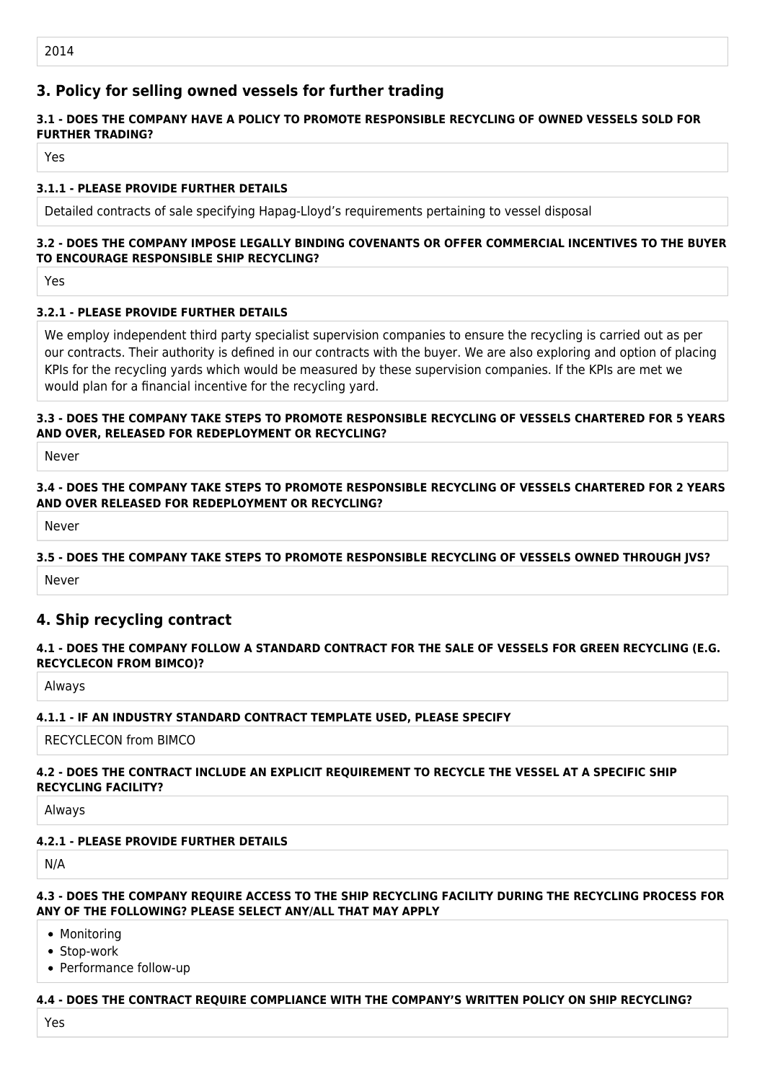# **3. Policy for selling owned vessels for further trading**

# **3.1 - DOES THE COMPANY HAVE A POLICY TO PROMOTE RESPONSIBLE RECYCLING OF OWNED VESSELS SOLD FOR FURTHER TRADING?**

Yes

## **3.1.1 - PLEASE PROVIDE FURTHER DETAILS**

Detailed contracts of sale specifying Hapag-Lloyd's requirements pertaining to vessel disposal

# **3.2 - DOES THE COMPANY IMPOSE LEGALLY BINDING COVENANTS OR OFFER COMMERCIAL INCENTIVES TO THE BUYER TO ENCOURAGE RESPONSIBLE SHIP RECYCLING?**

Yes

# **3.2.1 - PLEASE PROVIDE FURTHER DETAILS**

We employ independent third party specialist supervision companies to ensure the recycling is carried out as per our contracts. Their authority is defined in our contracts with the buyer. We are also exploring and option of placing KPIs for the recycling yards which would be measured by these supervision companies. If the KPIs are met we would plan for a financial incentive for the recycling yard.

## **3.3 - DOES THE COMPANY TAKE STEPS TO PROMOTE RESPONSIBLE RECYCLING OF VESSELS CHARTERED FOR 5 YEARS AND OVER, RELEASED FOR REDEPLOYMENT OR RECYCLING?**

Never

### **3.4 - DOES THE COMPANY TAKE STEPS TO PROMOTE RESPONSIBLE RECYCLING OF VESSELS CHARTERED FOR 2 YEARS AND OVER RELEASED FOR REDEPLOYMENT OR RECYCLING?**

Never

# **3.5 - DOES THE COMPANY TAKE STEPS TO PROMOTE RESPONSIBLE RECYCLING OF VESSELS OWNED THROUGH JVS?**

Never

# **4. Ship recycling contract**

### **4.1 - DOES THE COMPANY FOLLOW A STANDARD CONTRACT FOR THE SALE OF VESSELS FOR GREEN RECYCLING (E.G. RECYCLECON FROM BIMCO)?**

Always

### **4.1.1 - IF AN INDUSTRY STANDARD CONTRACT TEMPLATE USED, PLEASE SPECIFY**

RECYCLECON from BIMCO

### **4.2 - DOES THE CONTRACT INCLUDE AN EXPLICIT REQUIREMENT TO RECYCLE THE VESSEL AT A SPECIFIC SHIP RECYCLING FACILITY?**

Always

### **4.2.1 - PLEASE PROVIDE FURTHER DETAILS**

N/A

#### **4.3 - DOES THE COMPANY REQUIRE ACCESS TO THE SHIP RECYCLING FACILITY DURING THE RECYCLING PROCESS FOR ANY OF THE FOLLOWING? PLEASE SELECT ANY/ALL THAT MAY APPLY**

- Monitoring
- Stop-work
- Performance follow-up

### **4.4 - DOES THE CONTRACT REQUIRE COMPLIANCE WITH THE COMPANY'S WRITTEN POLICY ON SHIP RECYCLING?**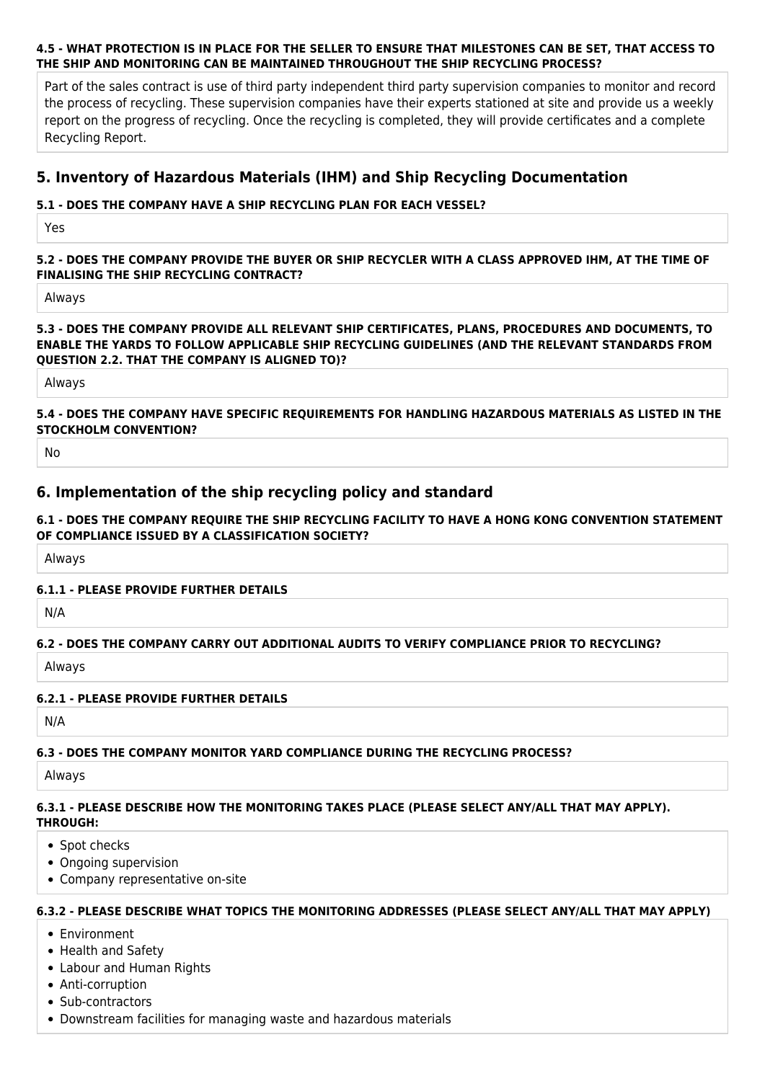#### **4.5 - WHAT PROTECTION IS IN PLACE FOR THE SELLER TO ENSURE THAT MILESTONES CAN BE SET, THAT ACCESS TO THE SHIP AND MONITORING CAN BE MAINTAINED THROUGHOUT THE SHIP RECYCLING PROCESS?**

Part of the sales contract is use of third party independent third party supervision companies to monitor and record the process of recycling. These supervision companies have their experts stationed at site and provide us a weekly report on the progress of recycling. Once the recycling is completed, they will provide certificates and a complete Recycling Report.

# **5. Inventory of Hazardous Materials (IHM) and Ship Recycling Documentation**

## **5.1 - DOES THE COMPANY HAVE A SHIP RECYCLING PLAN FOR EACH VESSEL?**

Yes

### **5.2 - DOES THE COMPANY PROVIDE THE BUYER OR SHIP RECYCLER WITH A CLASS APPROVED IHM, AT THE TIME OF FINALISING THE SHIP RECYCLING CONTRACT?**

Always

#### **5.3 - DOES THE COMPANY PROVIDE ALL RELEVANT SHIP CERTIFICATES, PLANS, PROCEDURES AND DOCUMENTS, TO ENABLE THE YARDS TO FOLLOW APPLICABLE SHIP RECYCLING GUIDELINES (AND THE RELEVANT STANDARDS FROM QUESTION 2.2. THAT THE COMPANY IS ALIGNED TO)?**

Always

### **5.4 - DOES THE COMPANY HAVE SPECIFIC REQUIREMENTS FOR HANDLING HAZARDOUS MATERIALS AS LISTED IN THE STOCKHOLM CONVENTION?**

No

# **6. Implementation of the ship recycling policy and standard**

### **6.1 - DOES THE COMPANY REQUIRE THE SHIP RECYCLING FACILITY TO HAVE A HONG KONG CONVENTION STATEMENT OF COMPLIANCE ISSUED BY A CLASSIFICATION SOCIETY?**

Always

### **6.1.1 - PLEASE PROVIDE FURTHER DETAILS**

N/A

### **6.2 - DOES THE COMPANY CARRY OUT ADDITIONAL AUDITS TO VERIFY COMPLIANCE PRIOR TO RECYCLING?**

Always

### **6.2.1 - PLEASE PROVIDE FURTHER DETAILS**

N/A

### **6.3 - DOES THE COMPANY MONITOR YARD COMPLIANCE DURING THE RECYCLING PROCESS?**

Always

#### **6.3.1 - PLEASE DESCRIBE HOW THE MONITORING TAKES PLACE (PLEASE SELECT ANY/ALL THAT MAY APPLY). THROUGH:**

- Spot checks
- Ongoing supervision
- Company representative on-site

#### **6.3.2 - PLEASE DESCRIBE WHAT TOPICS THE MONITORING ADDRESSES (PLEASE SELECT ANY/ALL THAT MAY APPLY)**

- Environment
- Health and Safety
- Labour and Human Rights
- Anti-corruption
- Sub-contractors
- Downstream facilities for managing waste and hazardous materials